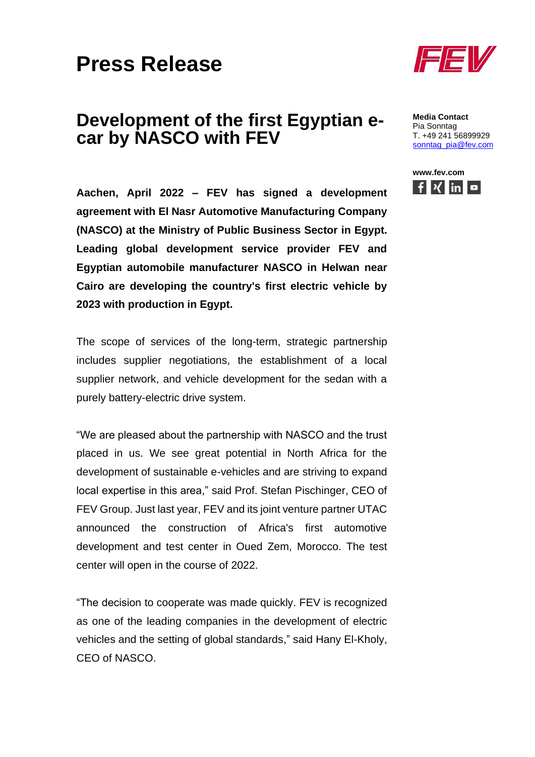## **Press Release**

## **Development of the first Egyptian ecar by NASCO with FEV**

**Aachen, April 2022 – FEV has signed a development agreement with El Nasr Automotive Manufacturing Company (NASCO) at the Ministry of Public Business Sector in Egypt. Leading global development service provider FEV and Egyptian automobile manufacturer NASCO in Helwan near Cairo are developing the country's first electric vehicle by 2023 with production in Egypt.**

The scope of services of the long-term, strategic partnership includes supplier negotiations, the establishment of a local supplier network, and vehicle development for the sedan with a purely battery-electric drive system.

"We are pleased about the partnership with NASCO and the trust placed in us. We see great potential in North Africa for the development of sustainable e-vehicles and are striving to expand local expertise in this area," said Prof. Stefan Pischinger, CEO of FEV Group. Just last year, FEV and its joint venture partner UTAC announced the construction of Africa's first automotive development and test center in Oued Zem, Morocco. The test center will open in the course of 2022.

"The decision to cooperate was made quickly. FEV is recognized as one of the leading companies in the development of electric vehicles and the setting of global standards," said Hany El-Kholy, CEO of NASCO.



**Media Contact** Pia Sonntag T. +49 241 56899929 [sonntag\\_pia@fev.com](mailto:sonntag_pia@fev.com)

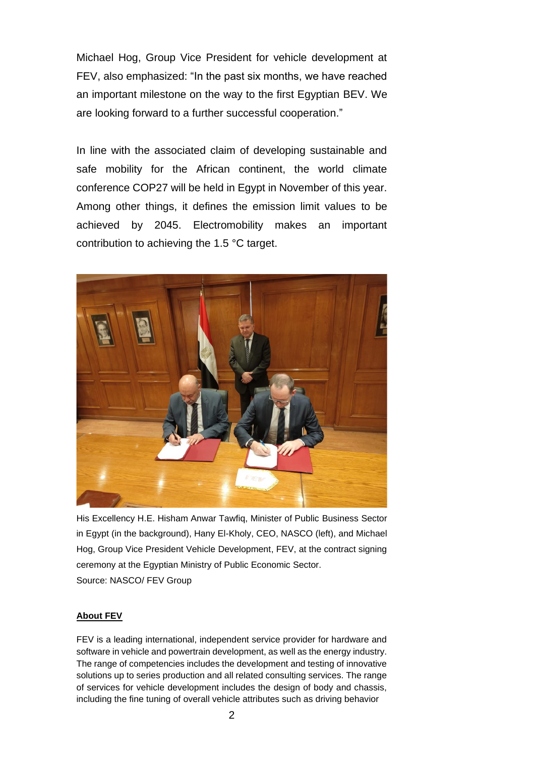Michael Hog, Group Vice President for vehicle development at FEV, also emphasized: "In the past six months, we have reached an important milestone on the way to the first Egyptian BEV. We are looking forward to a further successful cooperation."

In line with the associated claim of developing sustainable and safe mobility for the African continent, the world climate conference COP27 will be held in Egypt in November of this year. Among other things, it defines the emission limit values to be achieved by 2045. Electromobility makes an important contribution to achieving the 1.5 °C target.



His Excellency H.E. Hisham Anwar Tawfiq, Minister of Public Business Sector in Egypt (in the background), Hany El-Kholy, CEO, NASCO (left), and Michael Hog, Group Vice President Vehicle Development, FEV, at the contract signing ceremony at the Egyptian Ministry of Public Economic Sector. Source: NASCO/ FEV Group

## **About FEV**

FEV is a leading international, independent service provider for hardware and software in vehicle and powertrain development, as well as the energy industry. The range of competencies includes the development and testing of innovative solutions up to series production and all related consulting services. The range of services for vehicle development includes the design of body and chassis, including the fine tuning of overall vehicle attributes such as driving behavior